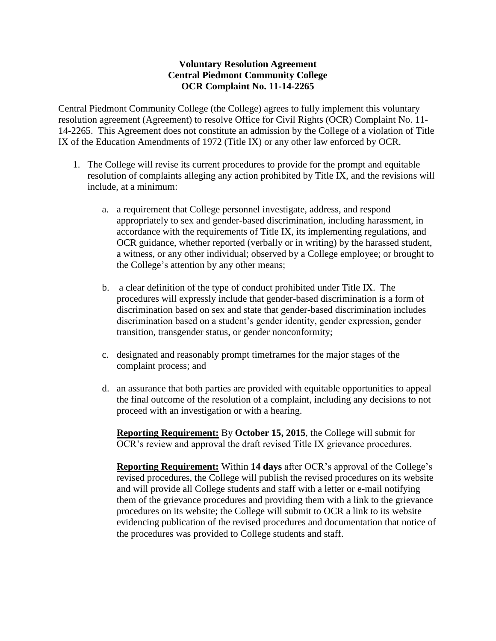## **Voluntary Resolution Agreement Central Piedmont Community College OCR Complaint No. 11-14-2265**

Central Piedmont Community College (the College) agrees to fully implement this voluntary resolution agreement (Agreement) to resolve Office for Civil Rights (OCR) Complaint No. 11- 14-2265. This Agreement does not constitute an admission by the College of a violation of Title IX of the Education Amendments of 1972 (Title IX) or any other law enforced by OCR.

- 1. The College will revise its current procedures to provide for the prompt and equitable resolution of complaints alleging any action prohibited by Title IX, and the revisions will include, at a minimum:
	- a. a requirement that College personnel investigate, address, and respond appropriately to sex and gender-based discrimination, including harassment, in accordance with the requirements of Title IX, its implementing regulations, and OCR guidance, whether reported (verbally or in writing) by the harassed student, a witness, or any other individual; observed by a College employee; or brought to the College's attention by any other means;
	- b. a clear definition of the type of conduct prohibited under Title IX. The procedures will expressly include that gender-based discrimination is a form of discrimination based on sex and state that gender-based discrimination includes discrimination based on a student's gender identity, gender expression, gender transition, transgender status, or gender nonconformity;
	- c. designated and reasonably prompt timeframes for the major stages of the complaint process; and
	- d. an assurance that both parties are provided with equitable opportunities to appeal the final outcome of the resolution of a complaint, including any decisions to not proceed with an investigation or with a hearing.

**Reporting Requirement:** By **October 15, 2015**, the College will submit for OCR's review and approval the draft revised Title IX grievance procedures.

**Reporting Requirement:** Within **14 days** after OCR's approval of the College's revised procedures, the College will publish the revised procedures on its website and will provide all College students and staff with a letter or e-mail notifying them of the grievance procedures and providing them with a link to the grievance procedures on its website; the College will submit to OCR a link to its website evidencing publication of the revised procedures and documentation that notice of the procedures was provided to College students and staff.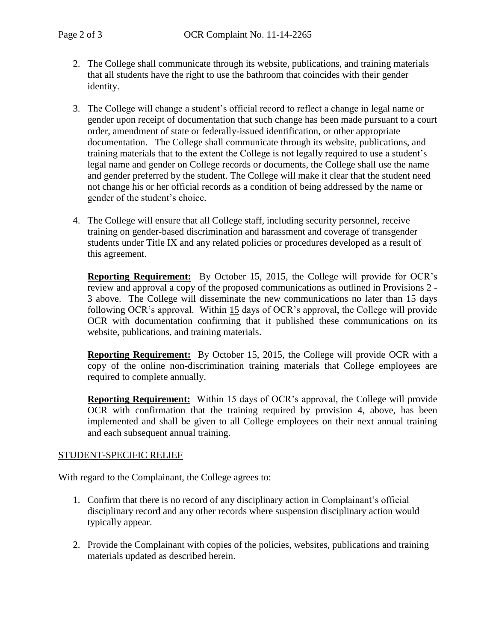- 2. The College shall communicate through its website, publications, and training materials that all students have the right to use the bathroom that coincides with their gender identity.
- 3. The College will change a student's official record to reflect a change in legal name or gender upon receipt of documentation that such change has been made pursuant to a court order, amendment of state or federally-issued identification, or other appropriate documentation. The College shall communicate through its website, publications, and training materials that to the extent the College is not legally required to use a student's legal name and gender on College records or documents, the College shall use the name and gender preferred by the student. The College will make it clear that the student need not change his or her official records as a condition of being addressed by the name or gender of the student's choice.
- 4. The College will ensure that all College staff, including security personnel, receive training on gender-based discrimination and harassment and coverage of transgender students under Title IX and any related policies or procedures developed as a result of this agreement.

**Reporting Requirement:** By October 15, 2015, the College will provide for OCR's review and approval a copy of the proposed communications as outlined in Provisions 2 - 3 above. The College will disseminate the new communications no later than 15 days following OCR's approval. Within 15 days of OCR's approval, the College will provide OCR with documentation confirming that it published these communications on its website, publications, and training materials.

**Reporting Requirement:** By October 15, 2015, the College will provide OCR with a copy of the online non-discrimination training materials that College employees are required to complete annually.

**Reporting Requirement:** Within 15 days of OCR's approval, the College will provide OCR with confirmation that the training required by provision 4, above, has been implemented and shall be given to all College employees on their next annual training and each subsequent annual training.

## STUDENT-SPECIFIC RELIEF

With regard to the Complainant, the College agrees to:

- 1. Confirm that there is no record of any disciplinary action in Complainant's official disciplinary record and any other records where suspension disciplinary action would typically appear.
- 2. Provide the Complainant with copies of the policies, websites, publications and training materials updated as described herein.